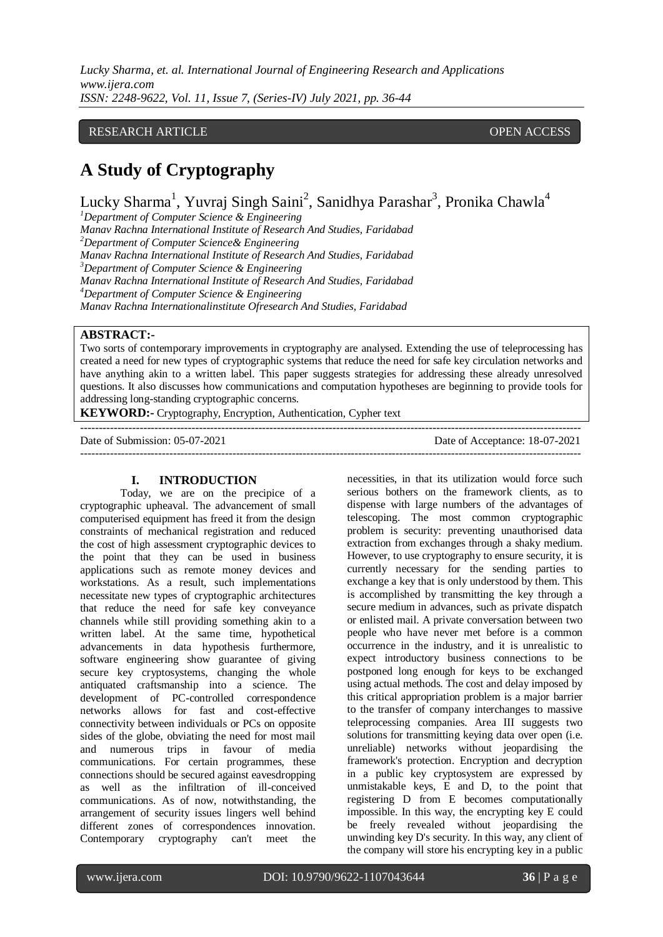### RESEARCH ARTICLE **CONSERVERS** OPEN ACCESS

# **A Study of Cryptography**

Lucky Sharma<sup>1</sup>, Yuvraj Singh Saini<sup>2</sup>, Sanidhya Parashar<sup>3</sup>, Pronika Chawla<sup>4</sup>

*<sup>1</sup>Department of Computer Science & Engineering*

*Manav Rachna International Institute of Research And Studies, Faridabad <sup>2</sup>Department of Computer Science& Engineering Manav Rachna International Institute of Research And Studies, Faridabad <sup>3</sup>Department of Computer Science & Engineering Manav Rachna International Institute of Research And Studies, Faridabad <sup>4</sup>Department of Computer Science & Engineering Manav Rachna Internationalinstitute Ofresearch And Studies, Faridabad*

# **ABSTRACT:-**

Two sorts of contemporary improvements in cryptography are analysed. Extending the use of teleprocessing has created a need for new types of cryptographic systems that reduce the need for safe key circulation networks and have anything akin to a written label. This paper suggests strategies for addressing these already unresolved questions. It also discusses how communications and computation hypotheses are beginning to provide tools for addressing long-standing cryptographic concerns.

---------------------------------------------------------------------------------------------------------------------------------------

---------------------------------------------------------------------------------------------------------------------------------------

**KEYWORD:-** Cryptography, Encryption, Authentication, Cypher text

Date of Submission: 05-07-2021 Date of Acceptance: 18-07-2021

#### **I. INTRODUCTION**

Today, we are on the precipice of a cryptographic upheaval. The advancement of small computerised equipment has freed it from the design constraints of mechanical registration and reduced the cost of high assessment cryptographic devices to the point that they can be used in business applications such as remote money devices and workstations. As a result, such implementations necessitate new types of cryptographic architectures that reduce the need for safe key conveyance channels while still providing something akin to a written label. At the same time, hypothetical advancements in data hypothesis furthermore, software engineering show guarantee of giving secure key cryptosystems, changing the whole antiquated craftsmanship into a science. The development of PC-controlled correspondence networks allows for fast and cost-effective connectivity between individuals or PCs on opposite sides of the globe, obviating the need for most mail and numerous trips in favour of media communications. For certain programmes, these connections should be secured against eavesdropping as well as the infiltration of ill-conceived communications. As of now, notwithstanding, the arrangement of security issues lingers well behind different zones of correspondences innovation. Contemporary cryptography can't meet the necessities, in that its utilization would force such serious bothers on the framework clients, as to dispense with large numbers of the advantages of telescoping. The most common cryptographic problem is security: preventing unauthorised data extraction from exchanges through a shaky medium. However, to use cryptography to ensure security, it is currently necessary for the sending parties to exchange a key that is only understood by them. This is accomplished by transmitting the key through a secure medium in advances, such as private dispatch or enlisted mail. A private conversation between two people who have never met before is a common occurrence in the industry, and it is unrealistic to expect introductory business connections to be postponed long enough for keys to be exchanged using actual methods. The cost and delay imposed by this critical appropriation problem is a major barrier to the transfer of company interchanges to massive teleprocessing companies. Area III suggests two solutions for transmitting keying data over open (i.e. unreliable) networks without jeopardising the framework's protection. Encryption and decryption in a public key cryptosystem are expressed by unmistakable keys, E and D, to the point that registering D from E becomes computationally impossible. In this way, the encrypting key E could be freely revealed without jeopardising the unwinding key D's security. In this way, any client of the company will store his encrypting key in a public

www.ijera.com DOI: 10.9790/9622-1107043644 **36** | P a g e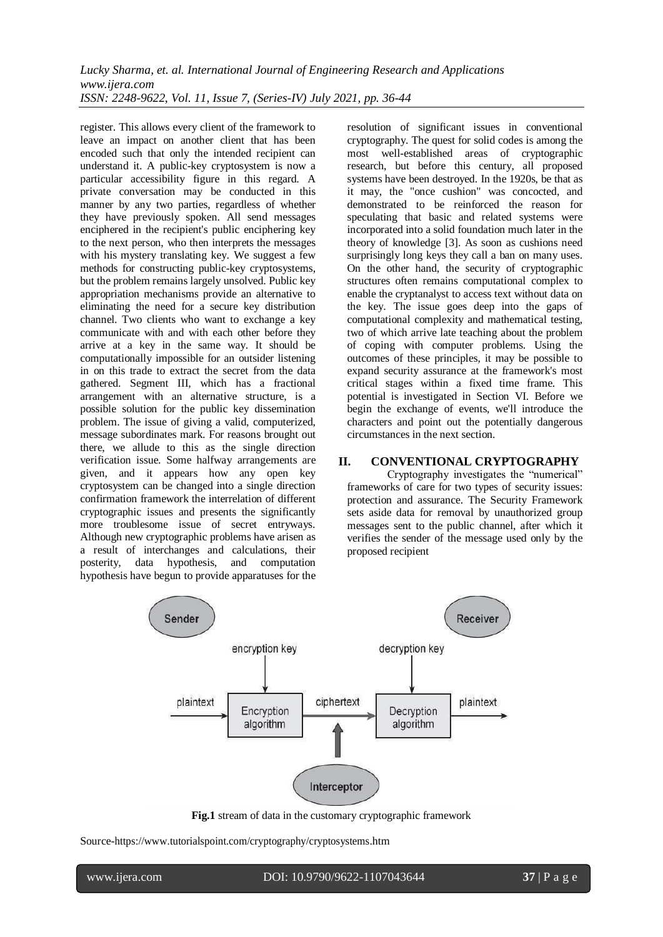register. This allows every client of the framework to leave an impact on another client that has been encoded such that only the intended recipient can understand it. A public-key cryptosystem is now a particular accessibility figure in this regard. A private conversation may be conducted in this manner by any two parties, regardless of whether they have previously spoken. All send messages enciphered in the recipient's public enciphering key to the next person, who then interprets the messages with his mystery translating key. We suggest a few methods for constructing public-key cryptosystems, but the problem remains largely unsolved. Public key appropriation mechanisms provide an alternative to eliminating the need for a secure key distribution channel. Two clients who want to exchange a key communicate with and with each other before they arrive at a key in the same way. It should be computationally impossible for an outsider listening in on this trade to extract the secret from the data gathered. Segment III, which has a fractional arrangement with an alternative structure, is a possible solution for the public key dissemination problem. The issue of giving a valid, computerized, message subordinates mark. For reasons brought out there, we allude to this as the single direction verification issue. Some halfway arrangements are given, and it appears how any open key cryptosystem can be changed into a single direction confirmation framework the interrelation of different cryptographic issues and presents the significantly more troublesome issue of secret entryways. Although new cryptographic problems have arisen as a result of interchanges and calculations, their posterity, data hypothesis, and computation hypothesis have begun to provide apparatuses for the resolution of significant issues in conventional cryptography. The quest for solid codes is among the most well-established areas of cryptographic research, but before this century, all proposed systems have been destroyed. In the 1920s, be that as it may, the "once cushion" was concocted, and demonstrated to be reinforced the reason for speculating that basic and related systems were incorporated into a solid foundation much later in the theory of knowledge [3]. As soon as cushions need surprisingly long keys they call a ban on many uses. On the other hand, the security of cryptographic structures often remains computational complex to enable the cryptanalyst to access text without data on the key. The issue goes deep into the gaps of computational complexity and mathematical testing, two of which arrive late teaching about the problem of coping with computer problems. Using the outcomes of these principles, it may be possible to expand security assurance at the framework's most critical stages within a fixed time frame. This potential is investigated in Section VI. Before we begin the exchange of events, we'll introduce the characters and point out the potentially dangerous circumstances in the next section.

### **II. CONVENTIONAL CRYPTOGRAPHY**

Cryptography investigates the "numerical" frameworks of care for two types of security issues: protection and assurance. The Security Framework sets aside data for removal by unauthorized group messages sent to the public channel, after which it verifies the sender of the message used only by the proposed recipient



**Fig.1** stream of data in the customary cryptographic framework

Source-http[s://www.tutorialspoint.com/cryptography/cryptosystems.](http://www.tutorialspoint.com/cryptography/cryptosystems)htm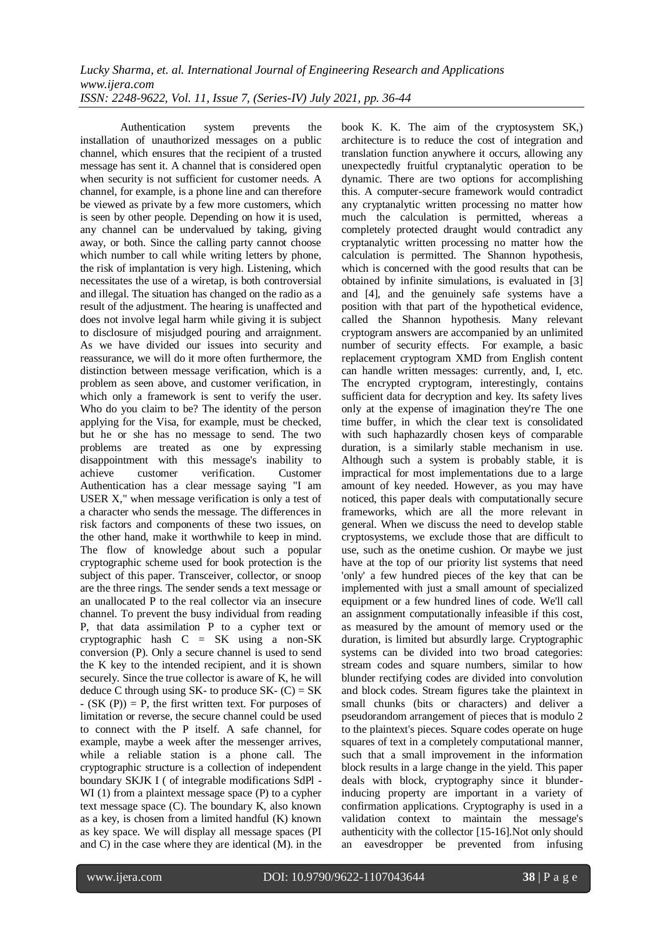Authentication system prevents the installation of unauthorized messages on a public channel, which ensures that the recipient of a trusted message has sent it. A channel that is considered open when security is not sufficient for customer needs. A channel, for example, is a phone line and can therefore be viewed as private by a few more customers, which is seen by other people. Depending on how it is used, any channel can be undervalued by taking, giving away, or both. Since the calling party cannot choose which number to call while writing letters by phone, the risk of implantation is very high. Listening, which necessitates the use of a wiretap, is both controversial and illegal. The situation has changed on the radio as a result of the adjustment. The hearing is unaffected and does not involve legal harm while giving it is subject to disclosure of misjudged pouring and arraignment. As we have divided our issues into security and reassurance, we will do it more often furthermore, the distinction between message verification, which is a problem as seen above, and customer verification, in which only a framework is sent to verify the user. Who do you claim to be? The identity of the person applying for the Visa, for example, must be checked, but he or she has no message to send. The two problems are treated as one by expressing disappointment with this message's inability to achieve customer verification. Customer Authentication has a clear message saying "I am USER X," when message verification is only a test of a character who sends the message. The differences in risk factors and components of these two issues, on the other hand, make it worthwhile to keep in mind. The flow of knowledge about such a popular cryptographic scheme used for book protection is the subject of this paper. Transceiver, collector, or snoop are the three rings. The sender sends a text message or an unallocated P to the real collector via an insecure channel. To prevent the busy individual from reading P, that data assimilation P to a cypher text or cryptographic hash C = SK using a non-SK conversion (P). Only a secure channel is used to send the K key to the intended recipient, and it is shown securely. Since the true collector is aware of K, he will deduce C through using SK- to produce SK-  $(C) = SK$  $-$  (SK (P)) = P, the first written text. For purposes of limitation or reverse, the secure channel could be used to connect with the P itself. A safe channel, for example, maybe a week after the messenger arrives, while a reliable station is a phone call. The cryptographic structure is a collection of independent boundary SKJK I ( of integrable modifications SdPl - WI (1) from a plaintext message space (P) to a cypher text message space (C). The boundary K, also known as a key, is chosen from a limited handful (K) known as key space. We will display all message spaces (PI and C) in the case where they are identical (M). in the

book K. K. The aim of the cryptosystem SK,) architecture is to reduce the cost of integration and translation function anywhere it occurs, allowing any unexpectedly fruitful cryptanalytic operation to be dynamic. There are two options for accomplishing this. A computer-secure framework would contradict any cryptanalytic written processing no matter how much the calculation is permitted, whereas a completely protected draught would contradict any cryptanalytic written processing no matter how the calculation is permitted. The Shannon hypothesis, which is concerned with the good results that can be obtained by infinite simulations, is evaluated in [3] and [4], and the genuinely safe systems have a position with that part of the hypothetical evidence, called the Shannon hypothesis. Many relevant cryptogram answers are accompanied by an unlimited number of security effects. For example, a basic replacement cryptogram XMD from English content can handle written messages: currently, and, I, etc. The encrypted cryptogram, interestingly, contains sufficient data for decryption and key. Its safety lives only at the expense of imagination they're The one time buffer, in which the clear text is consolidated with such haphazardly chosen keys of comparable duration, is a similarly stable mechanism in use. Although such a system is probably stable, it is impractical for most implementations due to a large amount of key needed. However, as you may have noticed, this paper deals with computationally secure frameworks, which are all the more relevant in general. When we discuss the need to develop stable cryptosystems, we exclude those that are difficult to use, such as the onetime cushion. Or maybe we just have at the top of our priority list systems that need 'only' a few hundred pieces of the key that can be implemented with just a small amount of specialized equipment or a few hundred lines of code. We'll call an assignment computationally infeasible if this cost, as measured by the amount of memory used or the duration, is limited but absurdly large. Cryptographic systems can be divided into two broad categories: stream codes and square numbers, similar to how blunder rectifying codes are divided into convolution and block codes. Stream figures take the plaintext in small chunks (bits or characters) and deliver a pseudorandom arrangement of pieces that is modulo 2 to the plaintext's pieces. Square codes operate on huge squares of text in a completely computational manner, such that a small improvement in the information block results in a large change in the yield. This paper deals with block, cryptography since it blunderinducing property are important in a variety of confirmation applications. Cryptography is used in a validation context to maintain the message's authenticity with the collector [15-16].Not only should an eavesdropper be prevented from infusing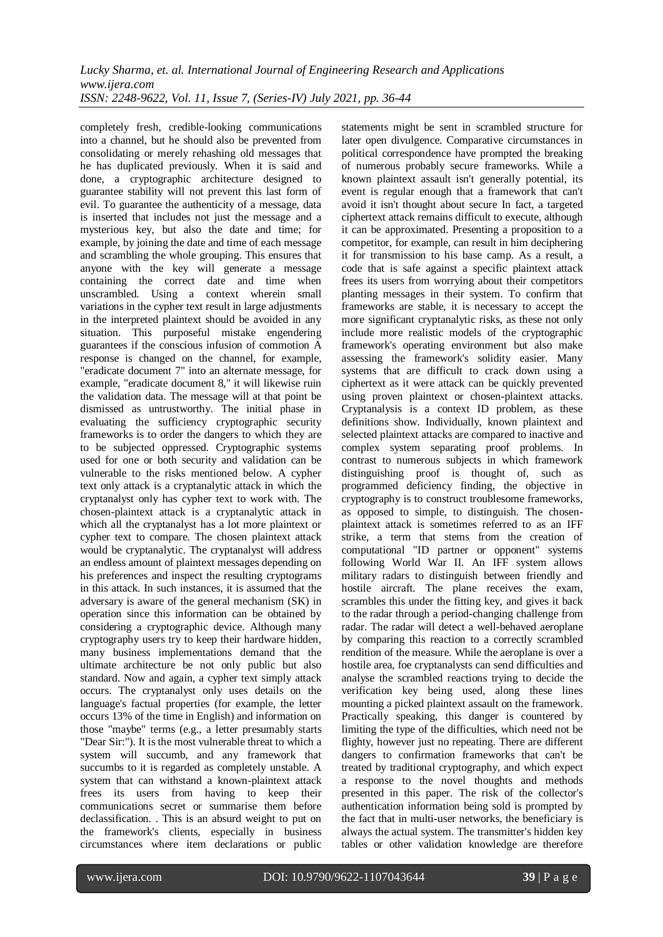completely fresh, credible-looking communications into a channel, but he should also be prevented from consolidating or merely rehashing old messages that he has duplicated previously. When it is said and done, a cryptographic architecture designed to guarantee stability will not prevent this last form of evil. To guarantee the authenticity of a message, data is inserted that includes not just the message and a mysterious key, but also the date and time; for example, by joining the date and time of each message and scrambling the whole grouping. This ensures that anyone with the key will generate a message containing the correct date and time when unscrambled. Using a context wherein small variations in the cypher text result in large adjustments in the interpreted plaintext should be avoided in any situation. This purposeful mistake engendering guarantees if the conscious infusion of commotion A response is changed on the channel, for example, "eradicate document 7" into an alternate message, for example, "eradicate document 8," it will likewise ruin the validation data. The message will at that point be dismissed as untrustworthy. The initial phase in evaluating the sufficiency cryptographic security frameworks is to order the dangers to which they are to be subjected oppressed. Cryptographic systems used for one or both security and validation can be vulnerable to the risks mentioned below. A cypher text only attack is a cryptanalytic attack in which the cryptanalyst only has cypher text to work with. The chosen-plaintext attack is a cryptanalytic attack in which all the cryptanalyst has a lot more plaintext or cypher text to compare. The chosen plaintext attack would be cryptanalytic. The cryptanalyst will address an endless amount of plaintext messages depending on his preferences and inspect the resulting cryptograms in this attack. In such instances, it is assumed that the adversary is aware of the general mechanism (SK) in operation since this information can be obtained by considering a cryptographic device. Although many cryptography users try to keep their hardware hidden, many business implementations demand that the ultimate architecture be not only public but also standard. Now and again, a cypher text simply attack occurs. The cryptanalyst only uses details on the language's factual properties (for example, the letter occurs 13% of the time in English) and information on those "maybe" terms (e.g., a letter presumably starts "Dear Sir:"). It is the most vulnerable threat to which a system will succumb, and any framework that succumbs to it is regarded as completely unstable. A system that can withstand a known-plaintext attack frees its users from having to keep their communications secret or summarise them before declassification. . This is an absurd weight to put on the framework's clients, especially in business circumstances where item declarations or public

statements might be sent in scrambled structure for later open divulgence. Comparative circumstances in political correspondence have prompted the breaking of numerous probably secure frameworks. While a known plaintext assault isn't generally potential, its event is regular enough that a framework that can't avoid it isn't thought about secure In fact, a targeted ciphertext attack remains difficult to execute, although it can be approximated. Presenting a proposition to a competitor, for example, can result in him deciphering it for transmission to his base camp. As a result, a code that is safe against a specific plaintext attack frees its users from worrying about their competitors planting messages in their system. To confirm that frameworks are stable, it is necessary to accept the more significant cryptanalytic risks, as these not only include more realistic models of the cryptographic framework's operating environment but also make assessing the framework's solidity easier. Many systems that are difficult to crack down using a ciphertext as it were attack can be quickly prevented using proven plaintext or chosen-plaintext attacks. Cryptanalysis is a context ID problem, as these definitions show. Individually, known plaintext and selected plaintext attacks are compared to inactive and complex system separating proof problems. In contrast to numerous subjects in which framework distinguishing proof is thought of, such as programmed deficiency finding, the objective in cryptography is to construct troublesome frameworks, as opposed to simple, to distinguish. The chosenplaintext attack is sometimes referred to as an IFF strike, a term that stems from the creation of computational "ID partner or opponent" systems following World War II. An IFF system allows military radars to distinguish between friendly and hostile aircraft. The plane receives the exam, scrambles this under the fitting key, and gives it back to the radar through a period-changing challenge from radar. The radar will detect a well-behaved aeroplane by comparing this reaction to a correctly scrambled rendition of the measure. While the aeroplane is over a hostile area, foe cryptanalysts can send difficulties and analyse the scrambled reactions trying to decide the verification key being used, along these lines mounting a picked plaintext assault on the framework. Practically speaking, this danger is countered by limiting the type of the difficulties, which need not be flighty, however just no repeating. There are different dangers to confirmation frameworks that can't be treated by traditional cryptography, and which expect a response to the novel thoughts and methods presented in this paper. The risk of the collector's authentication information being sold is prompted by the fact that in multi-user networks, the beneficiary is always the actual system. The transmitter's hidden key tables or other validation knowledge are therefore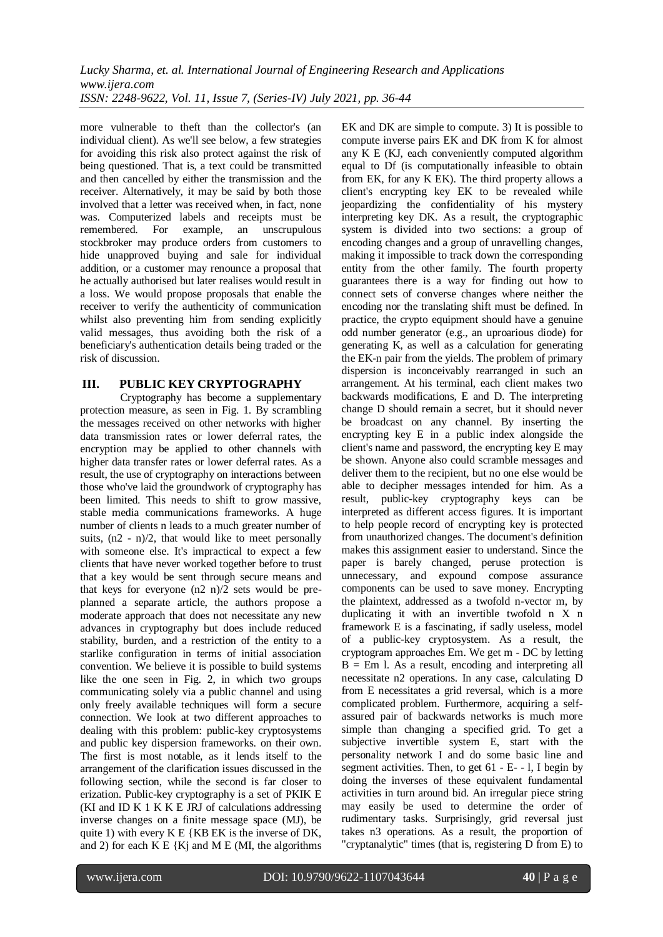more vulnerable to theft than the collector's (an individual client). As we'll see below, a few strategies for avoiding this risk also protect against the risk of being questioned. That is, a text could be transmitted and then cancelled by either the transmission and the receiver. Alternatively, it may be said by both those involved that a letter was received when, in fact, none was. Computerized labels and receipts must be remembered. For example, an unscrupulous stockbroker may produce orders from customers to hide unapproved buying and sale for individual addition, or a customer may renounce a proposal that he actually authorised but later realises would result in a loss. We would propose proposals that enable the receiver to verify the authenticity of communication whilst also preventing him from sending explicitly valid messages, thus avoiding both the risk of a beneficiary's authentication details being traded or the risk of discussion.

### **III. PUBLIC KEY CRYPTOGRAPHY**

Cryptography has become a supplementary protection measure, as seen in Fig. 1. By scrambling the messages received on other networks with higher data transmission rates or lower deferral rates, the encryption may be applied to other channels with higher data transfer rates or lower deferral rates. As a result, the use of cryptography on interactions between those who've laid the groundwork of cryptography has been limited. This needs to shift to grow massive, stable media communications frameworks. A huge number of clients n leads to a much greater number of suits,  $(n2 - n)/2$ , that would like to meet personally with someone else. It's impractical to expect a few clients that have never worked together before to trust that a key would be sent through secure means and that keys for everyone (n2 n)/2 sets would be preplanned a separate article, the authors propose a moderate approach that does not necessitate any new advances in cryptography but does include reduced stability, burden, and a restriction of the entity to a starlike configuration in terms of initial association convention. We believe it is possible to build systems like the one seen in Fig. 2, in which two groups communicating solely via a public channel and using only freely available techniques will form a secure connection. We look at two different approaches to dealing with this problem: public-key cryptosystems and public key dispersion frameworks. on their own. The first is most notable, as it lends itself to the arrangement of the clarification issues discussed in the following section, while the second is far closer to erization. Public-key cryptography is a set of PKIK E (KI and ID K 1 K K E JRJ of calculations addressing inverse changes on a finite message space (MJ), be quite 1) with every K E {KB EK is the inverse of DK, and 2) for each  $K E {Kj}$  and  $M E {Ml}$ , the algorithms

EK and DK are simple to compute. 3) It is possible to compute inverse pairs EK and DK from K for almost any K E (KJ, each conveniently computed algorithm equal to Df (is computationally infeasible to obtain from EK, for any K EK). The third property allows a client's encrypting key EK to be revealed while jeopardizing the confidentiality of his mystery interpreting key DK. As a result, the cryptographic system is divided into two sections: a group of encoding changes and a group of unravelling changes, making it impossible to track down the corresponding entity from the other family. The fourth property guarantees there is a way for finding out how to connect sets of converse changes where neither the encoding nor the translating shift must be defined. In practice, the crypto equipment should have a genuine odd number generator (e.g., an uproarious diode) for generating K, as well as a calculation for generating the EK-n pair from the yields. The problem of primary dispersion is inconceivably rearranged in such an arrangement. At his terminal, each client makes two backwards modifications, E and D. The interpreting change D should remain a secret, but it should never be broadcast on any channel. By inserting the encrypting key E in a public index alongside the client's name and password, the encrypting key E may be shown. Anyone also could scramble messages and deliver them to the recipient, but no one else would be able to decipher messages intended for him. As a result, public-key cryptography keys can be interpreted as different access figures. It is important to help people record of encrypting key is protected from unauthorized changes. The document's definition makes this assignment easier to understand. Since the paper is barely changed, peruse protection is unnecessary, and expound compose assurance components can be used to save money. Encrypting the plaintext, addressed as a twofold n-vector m, by duplicating it with an invertible twofold n X n framework E is a fascinating, if sadly useless, model of a public-key cryptosystem. As a result, the cryptogram approaches Em. We get m - DC by letting  $B = Em$  l. As a result, encoding and interpreting all necessitate n2 operations. In any case, calculating D from E necessitates a grid reversal, which is a more complicated problem. Furthermore, acquiring a selfassured pair of backwards networks is much more simple than changing a specified grid. To get a subjective invertible system E, start with the personality network I and do some basic line and segment activities. Then, to get 61 - E- - l, I begin by doing the inverses of these equivalent fundamental activities in turn around bid. An irregular piece string may easily be used to determine the order of rudimentary tasks. Surprisingly, grid reversal just takes n3 operations. As a result, the proportion of "cryptanalytic" times (that is, registering D from E) to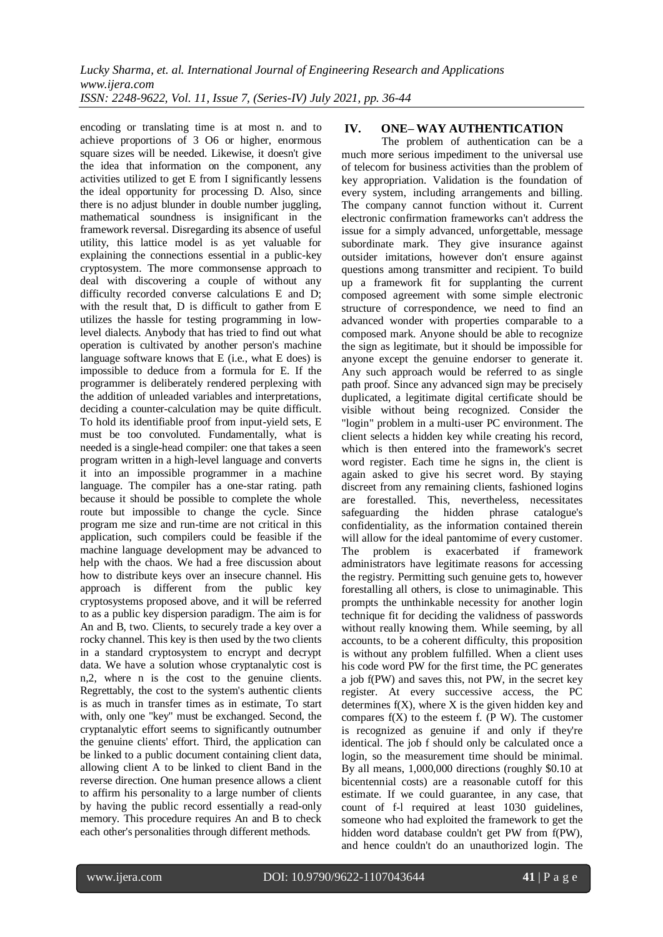encoding or translating time is at most n. and to achieve proportions of 3 O6 or higher, enormous square sizes will be needed. Likewise, it doesn't give the idea that information on the component, any activities utilized to get E from I significantly lessens the ideal opportunity for processing D. Also, since there is no adjust blunder in double number juggling, mathematical soundness is insignificant in the framework reversal. Disregarding its absence of useful utility, this lattice model is as yet valuable for explaining the connections essential in a public-key cryptosystem. The more commonsense approach to deal with discovering a couple of without any difficulty recorded converse calculations E and D; with the result that, D is difficult to gather from E utilizes the hassle for testing programming in lowlevel dialects. Anybody that has tried to find out what operation is cultivated by another person's machine language software knows that E (i.e., what E does) is impossible to deduce from a formula for E. If the programmer is deliberately rendered perplexing with the addition of unleaded variables and interpretations, deciding a counter-calculation may be quite difficult. To hold its identifiable proof from input-yield sets, E must be too convoluted. Fundamentally, what is needed is a single-head compiler: one that takes a seen program written in a high-level language and converts it into an impossible programmer in a machine language. The compiler has a one-star rating. path because it should be possible to complete the whole route but impossible to change the cycle. Since program me size and run-time are not critical in this application, such compilers could be feasible if the machine language development may be advanced to help with the chaos. We had a free discussion about how to distribute keys over an insecure channel. His approach is different from the public key cryptosystems proposed above, and it will be referred to as a public key dispersion paradigm. The aim is for An and B, two. Clients, to securely trade a key over a rocky channel. This key is then used by the two clients in a standard cryptosystem to encrypt and decrypt data. We have a solution whose cryptanalytic cost is n,2, where n is the cost to the genuine clients. Regrettably, the cost to the system's authentic clients is as much in transfer times as in estimate, To start with, only one "key" must be exchanged. Second, the cryptanalytic effort seems to significantly outnumber the genuine clients' effort. Third, the application can be linked to a public document containing client data, allowing client A to be linked to client Band in the reverse direction. One human presence allows a client to affirm his personality to a large number of clients by having the public record essentially a read-only memory. This procedure requires An and B to check each other's personalities through different methods.

# **IV. ONE– WAY AUTHENTICATION**

The problem of authentication can be a much more serious impediment to the universal use of telecom for business activities than the problem of key appropriation. Validation is the foundation of every system, including arrangements and billing. The company cannot function without it. Current electronic confirmation frameworks can't address the issue for a simply advanced, unforgettable, message subordinate mark. They give insurance against outsider imitations, however don't ensure against questions among transmitter and recipient. To build up a framework fit for supplanting the current composed agreement with some simple electronic structure of correspondence, we need to find an advanced wonder with properties comparable to a composed mark. Anyone should be able to recognize the sign as legitimate, but it should be impossible for anyone except the genuine endorser to generate it. Any such approach would be referred to as single path proof. Since any advanced sign may be precisely duplicated, a legitimate digital certificate should be visible without being recognized. Consider the "login" problem in a multi-user PC environment. The client selects a hidden key while creating his record, which is then entered into the framework's secret word register. Each time he signs in, the client is again asked to give his secret word. By staying discreet from any remaining clients, fashioned logins are forestalled. This, nevertheless, necessitates safeguarding the hidden phrase catalogue's confidentiality, as the information contained therein will allow for the ideal pantomime of every customer. The problem is exacerbated if framework administrators have legitimate reasons for accessing the registry. Permitting such genuine gets to, however forestalling all others, is close to unimaginable. This prompts the unthinkable necessity for another login technique fit for deciding the validness of passwords without really knowing them. While seeming, by all accounts, to be a coherent difficulty, this proposition is without any problem fulfilled. When a client uses his code word PW for the first time, the PC generates a job f(PW) and saves this, not PW, in the secret key register. At every successive access, the PC determines  $f(X)$ , where  $X$  is the given hidden key and compares  $f(X)$  to the esteem f. (P W). The customer is recognized as genuine if and only if they're identical. The job f should only be calculated once a login, so the measurement time should be minimal. By all means, 1,000,000 directions (roughly \$0.10 at bicentennial costs) are a reasonable cutoff for this estimate. If we could guarantee, in any case, that count of f-l required at least 1030 guidelines, someone who had exploited the framework to get the hidden word database couldn't get PW from f(PW), and hence couldn't do an unauthorized login. The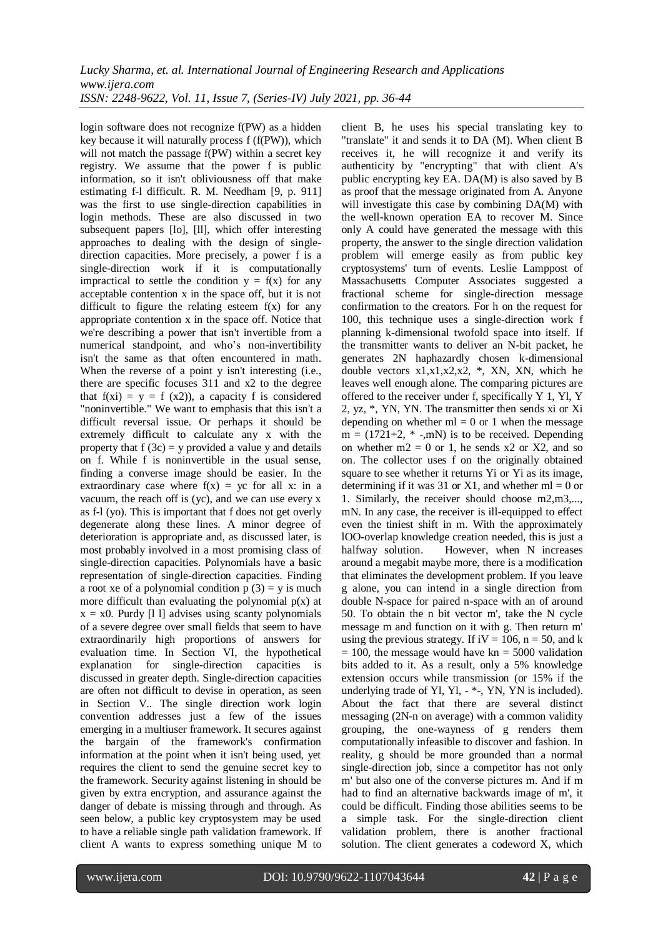login software does not recognize f(PW) as a hidden key because it will naturally process f (f(PW)), which will not match the passage f(PW) within a secret key registry. We assume that the power f is public information, so it isn't obliviousness off that make estimating f-l difficult. R. M. Needham [9, p. 911] was the first to use single-direction capabilities in login methods. These are also discussed in two subsequent papers [lo], [ll], which offer interesting approaches to dealing with the design of singledirection capacities. More precisely, a power f is a single-direction work if it is computationally impractical to settle the condition  $y = f(x)$  for any acceptable contention x in the space off, but it is not difficult to figure the relating esteem  $f(x)$  for any appropriate contention x in the space off. Notice that we're describing a power that isn't invertible from a numerical standpoint, and who's non-invertibility isn't the same as that often encountered in math. When the reverse of a point y isn't interesting (i.e., there are specific focuses 311 and x2 to the degree that  $f(xi) = y = f(x2)$ , a capacity f is considered "noninvertible." We want to emphasis that this isn't a difficult reversal issue. Or perhaps it should be extremely difficult to calculate any x with the property that  $f(3c) = v$  provided a value y and details on f. While f is noninvertible in the usual sense, finding a converse image should be easier. In the extraordinary case where  $f(x) = yc$  for all x: in a vacuum, the reach off is (yc), and we can use every x as f-l (yo). This is important that f does not get overly degenerate along these lines. A minor degree of deterioration is appropriate and, as discussed later, is most probably involved in a most promising class of single-direction capacities. Polynomials have a basic representation of single-direction capacities. Finding a root xe of a polynomial condition  $p(3) = y$  is much more difficult than evaluating the polynomial  $p(x)$  at  $x = x0$ . Purdy [1 l] advises using scanty polynomials of a severe degree over small fields that seem to have extraordinarily high proportions of answers for evaluation time. In Section VI, the hypothetical explanation for single-direction capacities is discussed in greater depth. Single-direction capacities are often not difficult to devise in operation, as seen in Section V.. The single direction work login convention addresses just a few of the issues emerging in a multiuser framework. It secures against the bargain of the framework's confirmation information at the point when it isn't being used, yet requires the client to send the genuine secret key to the framework. Security against listening in should be given by extra encryption, and assurance against the danger of debate is missing through and through. As seen below, a public key cryptosystem may be used to have a reliable single path validation framework. If client A wants to express something unique M to

client B, he uses his special translating key to "translate" it and sends it to DA (M). When client B receives it, he will recognize it and verify its authenticity by "encrypting" that with client A's public encrypting key EA. DA(M) is also saved by B as proof that the message originated from A. Anyone will investigate this case by combining  $DA(M)$  with the well-known operation EA to recover M. Since only A could have generated the message with this property, the answer to the single direction validation problem will emerge easily as from public key cryptosystems' turn of events. Leslie Lamppost of Massachusetts Computer Associates suggested a fractional scheme for single-direction message confirmation to the creators. For h on the request for 100, this technique uses a single-direction work f planning k-dimensional twofold space into itself. If the transmitter wants to deliver an N-bit packet, he generates 2N haphazardly chosen k-dimensional double vectors x1,x1,x2,x2, \*, XN, XN, which he leaves well enough alone. The comparing pictures are offered to the receiver under f, specifically Y 1, Yl, Y 2, yz, \*, YN, YN. The transmitter then sends xi or Xi depending on whether  $ml = 0$  or 1 when the message  $m = (1721+2, *$  -,mN) is to be received. Depending on whether  $m2 = 0$  or 1, he sends x2 or X2, and so on. The collector uses f on the originally obtained square to see whether it returns Yi or Yi as its image, determining if it was 31 or X1, and whether  $ml = 0$  or 1. Similarly, the receiver should choose m2,m3,..., mN. In any case, the receiver is ill-equipped to effect even the tiniest shift in m. With the approximately lOO-overlap knowledge creation needed, this is just a halfway solution. However, when N increases around a megabit maybe more, there is a modification that eliminates the development problem. If you leave g alone, you can intend in a single direction from double N-space for paired n-space with an of around 50. To obtain the n bit vector m', take the N cycle message m and function on it with g. Then return m' using the previous strategy. If  $iV = 106$ ,  $n = 50$ , and k  $= 100$ , the message would have kn  $= 5000$  validation bits added to it. As a result, only a 5% knowledge extension occurs while transmission (or 15% if the underlying trade of Yl, Yl, - \*-, YN, YN is included). About the fact that there are several distinct messaging (2N-n on average) with a common validity grouping, the one-wayness of g renders them computationally infeasible to discover and fashion. In reality, g should be more grounded than a normal single-direction job, since a competitor has not only m' but also one of the converse pictures m. And if m had to find an alternative backwards image of m', it could be difficult. Finding those abilities seems to be a simple task. For the single-direction client validation problem, there is another fractional solution. The client generates a codeword X, which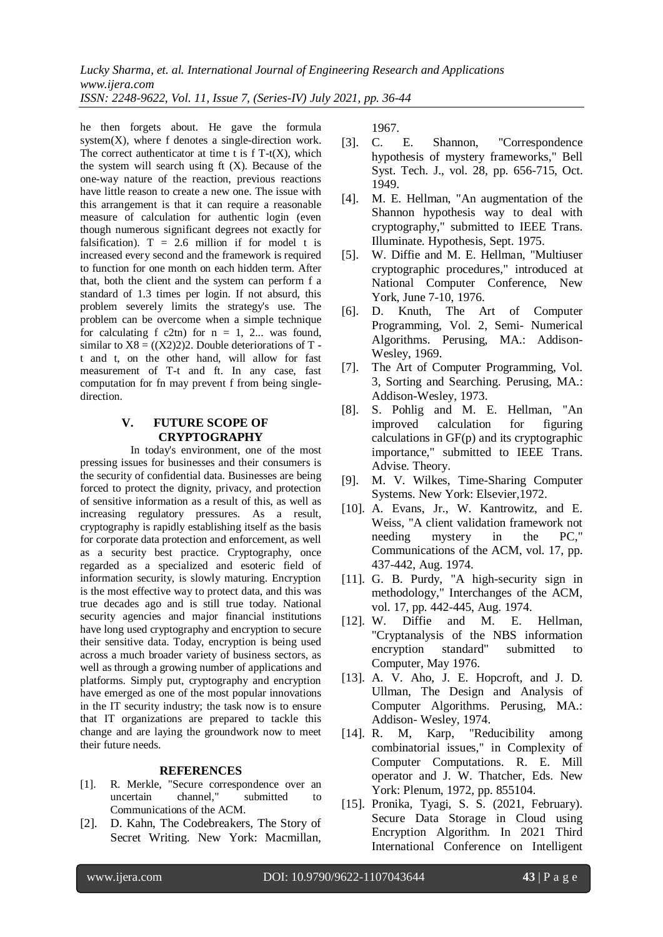he then forgets about. He gave the formula system $(X)$ , where f denotes a single-direction work. The correct authenticator at time t is  $f T-t(X)$ , which the system will search using ft (X). Because of the one-way nature of the reaction, previous reactions have little reason to create a new one. The issue with this arrangement is that it can require a reasonable measure of calculation for authentic login (even though numerous significant degrees not exactly for falsification).  $T = 2.6$  million if for model t is increased every second and the framework is required to function for one month on each hidden term. After that, both the client and the system can perform f a standard of 1.3 times per login. If not absurd, this problem severely limits the strategy's use. The problem can be overcome when a simple technique for calculating f c2tn) for  $n = 1, 2...$  was found, similar to  $X8 = ((X2)2)2$ . Double deteriorations of T t and t, on the other hand, will allow for fast measurement of T-t and ft. In any case, fast computation for fn may prevent f from being singledirection.

### **V. FUTURE SCOPE OF CRYPTOGRAPHY**

In today's environment, one of the most pressing issues for businesses and their consumers is the security of confidential data. Businesses are being forced to protect the dignity, privacy, and protection of sensitive information as a result of this, as well as increasing regulatory pressures. As a result, cryptography is rapidly establishing itself as the basis for corporate data protection and enforcement, as well as a security best practice. Cryptography, once regarded as a specialized and esoteric field of information security, is slowly maturing. Encryption is the most effective way to protect data, and this was true decades ago and is still true today. National security agencies and major financial institutions have long used cryptography and encryption to secure their sensitive data. Today, encryption is being used across a much broader variety of business sectors, as well as through a growing number of applications and platforms. Simply put, cryptography and encryption have emerged as one of the most popular innovations in the IT security industry; the task now is to ensure that IT organizations are prepared to tackle this change and are laying the groundwork now to meet their future needs.

#### **REFERENCES**

- [1]. R. Merkle, "Secure correspondence over an uncertain channel," submitted to Communications of the ACM.
- [2]. D. Kahn, The Codebreakers, The Story of Secret Writing. New York: Macmillan,

1967.

- [3]. C. E. Shannon, "Correspondence hypothesis of mystery frameworks," Bell Syst. Tech. J., vol. 28, pp. 656-715, Oct. 1949.
- [4]. M. E. Hellman, "An augmentation of the Shannon hypothesis way to deal with cryptography," submitted to IEEE Trans. Illuminate. Hypothesis, Sept. 1975.
- [5]. W. Diffie and M. E. Hellman, "Multiuser cryptographic procedures," introduced at National Computer Conference, New York, June 7-10, 1976.
- [6]. D. Knuth, The Art of Computer Programming, Vol. 2, Semi- Numerical Algorithms. Perusing, MA.: Addison-Wesley, 1969.
- [7]. The Art of Computer Programming, Vol. 3, Sorting and Searching. Perusing, MA.: Addison-Wesley, 1973.
- [8]. S. Pohlig and M. E. Hellman, "An improved calculation for figuring calculations in GF(p) and its cryptographic importance," submitted to IEEE Trans. Advise. Theory.
- [9]. M. V. Wilkes, Time-Sharing Computer Systems. New York: Elsevier,1972.
- [10]. A. Evans, Jr., W. Kantrowitz, and E. Weiss, "A client validation framework not needing mystery in the PC," Communications of the ACM, vol. 17, pp. 437-442, Aug. 1974.
- [11]. G. B. Purdy, "A high-security sign in methodology," Interchanges of the ACM, vol. 17, pp. 442-445, Aug. 1974.
- [12]. W. Diffie and M. E. Hellman, "Cryptanalysis of the NBS information encryption standard" submitted Computer, May 1976.
- [13]. A. V. Aho, J. E. Hopcroft, and J. D. Ullman, The Design and Analysis of Computer Algorithms. Perusing, MA.: Addison- Wesley, 1974.
- [14]. R. M, Karp, "Reducibility among combinatorial issues," in Complexity of Computer Computations. R. E. Mill operator and J. W. Thatcher, Eds. New York: Plenum, 1972, pp. 855104.
- [15]. Pronika, Tyagi, S. S. (2021, February). Secure Data Storage in Cloud using Encryption Algorithm. In 2021 Third International Conference on Intelligent